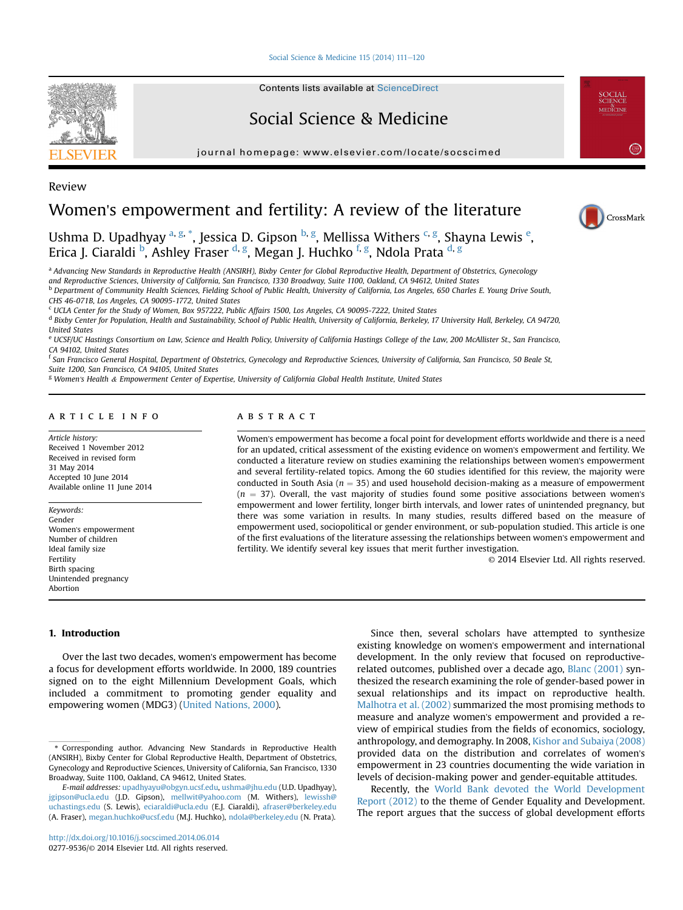[Social Science & Medicine 115 \(2014\) 111](http://dx.doi.org/10.1016/j.socscimed.2014.06.014)-[120](http://dx.doi.org/10.1016/j.socscimed.2014.06.014)



Contents lists available at [ScienceDirect](www.sciencedirect.com/science/journal/02779536)

# Social Science & Medicine

journal homepage: [www.elsevier.com/locate/socscimed](http://www.elsevier.com/locate/socscimed)



# Review

# Women's empowerment and fertility: A review of the literature



Ushma D. Upadhyay <sup>a, g, \*</sup>, Jessica D. Gipson <sup>b, g</sup>, Mellissa Withers <sup>c, g</sup>, Shayna Lewis <sup>e</sup>, Erica J. Ciaraldi <sup>b</sup>, Ashley Fraser <sup>d, g</sup>, Megan J. Huchko <sup>f, g</sup>, Ndola Prata <sup>d, g</sup>

a Advancing New Standards in Reproductive Health (ANSIRH), Bixby Center for Global Reproductive Health, Department of Obstetrics, Gynecology

and Reproductive Sciences, University of California, San Francisco, 1330 Broadway, Suite 1100, Oakland, CA 94612, United States

<sup>b</sup> Department of Community Health Sciences, Fielding School of Public Health, University of California, Los Angeles, 650 Charles E. Young Drive South, CHS 46-071B, Los Angeles, CA 90095-1772, United States

<sup>c</sup> UCLA Center for the Study of Women, Box 957222, Public Affairs 1500, Los Angeles, CA 90095-7222, United States

<sup>d</sup> Bixby Center for Population, Health and Sustainability, School of Public Health, University of California, Berkeley, 17 University Hall, Berkeley, CA 94720, United States

e UCSF/UC Hastings Consortium on Law, Science and Health Policy, University of California Hastings College of the Law, 200 McAllister St., San Francisco, CA 94102, United States

<sup>f</sup> San Francisco General Hospital, Department of Obstetrics, Gynecology and Reproductive Sciences, University of California, San Francisco, 50 Beale St, Suite 1200, San Francisco, CA 94105, United States

<sup>g</sup> Women's Health & Empowerment Center of Expertise, University of California Global Health Institute, United States

# article info

Article history: Received 1 November 2012 Received in revised form 31 May 2014 Accepted 10 June 2014 Available online 11 June 2014

Keywords: Gender Women's empowerment Number of children Ideal family size Fertility Birth spacing Unintended pregnancy Abortion

#### 1. Introduction

Over the last two decades, women's empowerment has become a focus for development efforts worldwide. In 2000, 189 countries signed on to the eight Millennium Development Goals, which included a commitment to promoting gender equality and empowering women (MDG3) ([United Nations, 2000](#page-9-0)).

# **ABSTRACT**

Women's empowerment has become a focal point for development efforts worldwide and there is a need for an updated, critical assessment of the existing evidence on women's empowerment and fertility. We conducted a literature review on studies examining the relationships between women's empowerment and several fertility-related topics. Among the 60 studies identified for this review, the majority were conducted in South Asia ( $n = 35$ ) and used household decision-making as a measure of empowerment  $(n = 37)$ . Overall, the vast majority of studies found some positive associations between women's empowerment and lower fertility, longer birth intervals, and lower rates of unintended pregnancy, but there was some variation in results. In many studies, results differed based on the measure of empowerment used, sociopolitical or gender environment, or sub-population studied. This article is one of the first evaluations of the literature assessing the relationships between women's empowerment and fertility. We identify several key issues that merit further investigation.

© 2014 Elsevier Ltd. All rights reserved.

Since then, several scholars have attempted to synthesize existing knowledge on women's empowerment and international development. In the only review that focused on reproductiverelated outcomes, published over a decade ago, [Blanc \(2001\)](#page-8-0) synthesized the research examining the role of gender-based power in sexual relationships and its impact on reproductive health. [Malhotra et al. \(2002\)](#page-9-0) summarized the most promising methods to measure and analyze women's empowerment and provided a review of empirical studies from the fields of economics, sociology, anthropology, and demography. In 2008, [Kishor and Subaiya \(2008\)](#page-9-0) provided data on the distribution and correlates of women's empowerment in 23 countries documenting the wide variation in levels of decision-making power and gender-equitable attitudes.

Recently, the [World Bank devoted the World Development](#page-9-0) [Report \(2012\)](#page-9-0) to the theme of Gender Equality and Development. The report argues that the success of global development efforts

<sup>\*</sup> Corresponding author. Advancing New Standards in Reproductive Health (ANSIRH), Bixby Center for Global Reproductive Health, Department of Obstetrics, Gynecology and Reproductive Sciences, University of California, San Francisco, 1330 Broadway, Suite 1100, Oakland, CA 94612, United States.

E-mail addresses: [upadhyayu@obgyn.ucsf.edu](mailto:upadhyayu@obgyn.ucsf.edu), [ushma@jhu.edu](mailto:ushma@jhu.edu) (U.D. Upadhyay), [jgipson@ucla.edu](mailto:jgipson@ucla.edu) (J.D. Gipson), [mellwit@yahoo.com](mailto:mellwit@yahoo.com) (M. Withers), [lewissh@](mailto:lewissh@uchastings.edu) [uchastings.edu](mailto:lewissh@uchastings.edu) (S. Lewis), [eciaraldi@ucla.edu](mailto:eciaraldi@ucla.edu) (E.J. Ciaraldi), [afraser@berkeley.edu](mailto:afraser@berkeley.edu) (A. Fraser), [megan.huchko@ucsf.edu](mailto:megan.huchko@ucsf.edu) (M.J. Huchko), [ndola@berkeley.edu](mailto:ndola@berkeley.edu) (N. Prata).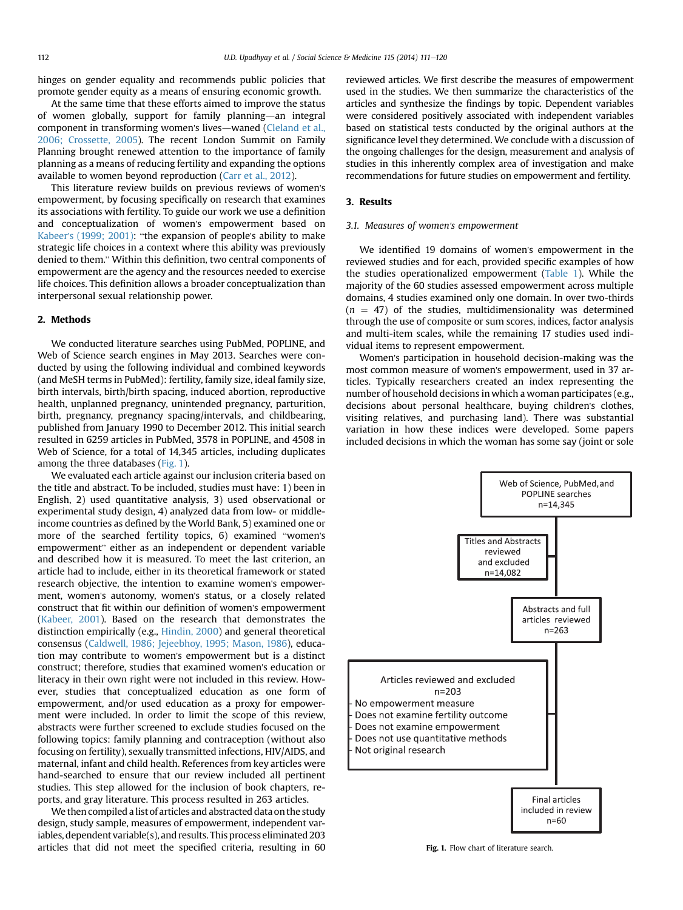hinges on gender equality and recommends public policies that promote gender equity as a means of ensuring economic growth.

At the same time that these efforts aimed to improve the status of women globally, support for family planning-an integral component in transforming women's lives—waned ([Cleland et al.,](#page-8-0) [2006; Crossette, 2005](#page-8-0)). The recent London Summit on Family Planning brought renewed attention to the importance of family planning as a means of reducing fertility and expanding the options available to women beyond reproduction ([Carr et al., 2012\)](#page-8-0).

This literature review builds on previous reviews of women's empowerment, by focusing specifically on research that examines its associations with fertility. To guide our work we use a definition and conceptualization of women's empowerment based on Kabeer'[s \(1999; 2001\)](#page-8-0): "the expansion of people's ability to make strategic life choices in a context where this ability was previously denied to them." Within this definition, two central components of empowerment are the agency and the resources needed to exercise life choices. This definition allows a broader conceptualization than interpersonal sexual relationship power.

#### 2. Methods

We conducted literature searches using PubMed, POPLINE, and Web of Science search engines in May 2013. Searches were conducted by using the following individual and combined keywords (and MeSH terms in PubMed): fertility, family size, ideal family size, birth intervals, birth/birth spacing, induced abortion, reproductive health, unplanned pregnancy, unintended pregnancy, parturition, birth, pregnancy, pregnancy spacing/intervals, and childbearing, published from January 1990 to December 2012. This initial search resulted in 6259 articles in PubMed, 3578 in POPLINE, and 4508 in Web of Science, for a total of 14,345 articles, including duplicates among the three databases (Fig. 1).

We evaluated each article against our inclusion criteria based on the title and abstract. To be included, studies must have: 1) been in English, 2) used quantitative analysis, 3) used observational or experimental study design, 4) analyzed data from low- or middleincome countries as defined by the World Bank, 5) examined one or more of the searched fertility topics, 6) examined "women'<sup>s</sup> more of the searched fertility topics, 6) examined "women's empowerment" either as an independent or dependent variable and described how it is measured. To meet the last criterion, an article had to include, either in its theoretical framework or stated research objective, the intention to examine women's empowerment, women's autonomy, women's status, or a closely related construct that fit within our definition of women's empowerment ([Kabeer, 2001\)](#page-8-0). Based on the research that demonstrates the distinction empirically (e.g., [Hindin, 2000\)](#page-8-0) and general theoretical consensus [\(Caldwell, 1986; Jejeebhoy, 1995; Mason, 1986\)](#page-8-0), education may contribute to women's empowerment but is a distinct construct; therefore, studies that examined women's education or literacy in their own right were not included in this review. However, studies that conceptualized education as one form of empowerment, and/or used education as a proxy for empowerment were included. In order to limit the scope of this review, abstracts were further screened to exclude studies focused on the following topics: family planning and contraception (without also focusing on fertility), sexually transmitted infections, HIV/AIDS, and maternal, infant and child health. References from key articles were hand-searched to ensure that our review included all pertinent studies. This step allowed for the inclusion of book chapters, reports, and gray literature. This process resulted in 263 articles.

We then compiled a list of articles and abstracted data on the study design, study sample, measures of empowerment, independent variables, dependent variable(s), and results. This process eliminated 203 articles that did not meet the specified criteria, resulting in 60 reviewed articles. We first describe the measures of empowerment used in the studies. We then summarize the characteristics of the articles and synthesize the findings by topic. Dependent variables were considered positively associated with independent variables based on statistical tests conducted by the original authors at the significance level they determined. We conclude with a discussion of the ongoing challenges for the design, measurement and analysis of studies in this inherently complex area of investigation and make recommendations for future studies on empowerment and fertility.

#### 3. Results

#### 3.1. Measures of women's empowerment

We identified 19 domains of women's empowerment in the reviewed studies and for each, provided specific examples of how the studies operationalized empowerment ([Table 1](#page-2-0)). While the majority of the 60 studies assessed empowerment across multiple domains, 4 studies examined only one domain. In over two-thirds  $(n = 47)$  of the studies, multidimensionality was determined through the use of composite or sum scores, indices, factor analysis and multi-item scales, while the remaining 17 studies used individual items to represent empowerment.

Women's participation in household decision-making was the most common measure of women's empowerment, used in 37 articles. Typically researchers created an index representing the number of household decisions in which a woman participates (e.g., decisions about personal healthcare, buying children's clothes, visiting relatives, and purchasing land). There was substantial variation in how these indices were developed. Some papers included decisions in which the woman has some say (joint or sole



Fig. 1. Flow chart of literature search.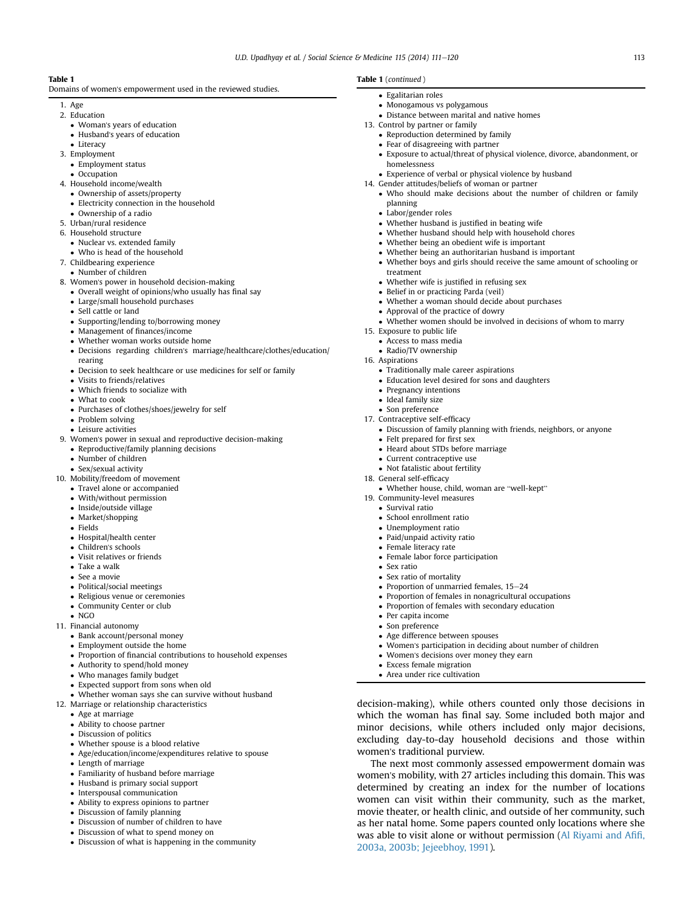# <span id="page-2-0"></span>Table 1

Domains of women's empowerment used in the reviewed studies.

- 1. Age 2. Education
- - Woman's years of education
- Husband's years of education
- Literacy 3. Employment
	- Employment status
	- Occupation
- 4. Household income/wealth
	- Ownership of assets/property
	- Electricity connection in the household
	- Ownership of a radio
- 5. Urban/rural residence
- 6. Household structure
	- Nuclear vs. extended family
	- Who is head of the household
- 7. Childbearing experience Number of children
- -8. Women's power in household decision-making
- Overall weight of opinions/who usually has final say
- Large/small household purchases
- Sell cattle or land
- Supporting/lending to/borrowing money
- Management of finances/income
- -Whether woman works outside home
- Decisions regarding children's marriage/healthcare/clothes/education/ rearing
- Decision to seek healthcare or use medicines for self or family
- Visits to friends/relatives
- Which friends to socialize with
- What to cook
- Purchases of clothes/shoes/jewelry for self
- Problem solving
- Leisure activities
- 9. Women's power in sexual and reproductive decision-making
	- Reproductive/family planning decisions
	- Number of children
	- Sex/sexual activity
- 10. Mobility/freedom of movement
	- Travel alone or accompanied
	- With/without permission
	- Inside/outside village
	- Market/shopping
	- -Fields
	- Hospital/health center
	- Children's schools
	- Visit relatives or friends
	- Take a walk
	- See a movie
	- Political/social meetings
	- Religious venue or ceremonies
	- Community Center or club
	- NGO
- 11. Financial autonomy
	- Bank account/personal money
	- Employment outside the home
	- Proportion of financial contributions to household expenses
	- Authority to spend/hold money
	- Who manages family budget
	- Expected support from sons when old
	- Whether woman says she can survive without husband
- 12. Marriage or relationship characteristics
	- Age at marriage
	- Ability to choose partner
	- Discussion of politics
	- Whether spouse is a blood relative
	- Age/education/income/expenditures relative to spouse
	- Length of marriage
	- -Familiarity of husband before marriage
	- Husband is primary social support
	- Interspousal communication
	- Ability to express opinions to partner
	- -Discussion of family planning
	- Discussion of number of children to have
	- Discussion of what to spend money on
	- Discussion of what is happening in the community

#### Table 1 (continued )

- Egalitarian roles
	- -- Monogamous vs polygamous
- Distance between marital and native homes
- 13. Control by partner or family
	- Reproduction determined by family
	- Fear of disagreeing with partner
	- Exposure to actual/threat of physical violence, divorce, abandonment, or homelessness
	- Experience of verbal or physical violence by husband
- 14. Gender attitudes/beliefs of woman or partner
	- Who should make decisions about the number of children or family planning
	- Labor/gender roles
	- Whether husband is justified in beating wife
	- Whether husband should help with household chores
	- Whether being an obedient wife is important
	- Whether being an authoritarian husband is important
	- Whether boys and girls should receive the same amount of schooling or treatment
	- Whether wife is justified in refusing sex
	- Belief in or practicing Parda (veil)
	- Whether a woman should decide about purchases
	- Approval of the practice of dowry

- Traditionally male career aspirations - Education level desired for sons and daughters

- Whether house, child, woman are "well-kept"

- Whether women should be involved in decisions of whom to marry

- Discussion of family planning with friends, neighbors, or anyone

decision-making), while others counted only those decisions in which the woman has final say. Some included both major and minor decisions, while others included only major decisions, excluding day-to-day household decisions and those within

The next most commonly assessed empowerment domain was women's mobility, with 27 articles including this domain. This was determined by creating an index for the number of locations women can visit within their community, such as the market, movie theater, or health clinic, and outside of her community, such as her natal home. Some papers counted only locations where she was able to visit alone or without permission [\(Al Riyami and A](#page-8-0)fifi,

15. Exposure to public life

- Pregnancy intentions - Ideal family size -17. Contraceptive self-efficacy Son preference

> • Felt prepared for first sex - Heard about STDs before marriage - Current contraceptive use - Not fatalistic about fertility

18. General self-efficacy

• Sex ratio

19. Community-level measures - Survival ratio - School enrollment ratio • Unemployment ratio - Paid/unpaid activity ratio - Female literacy rate

• Sex ratio of mortality

- Per capita income • Son preference

- Female labor force participation

• Age difference between spouses

• Excess female migration - Area under rice cultivation

• Proportion of unmarried females, 15-24

- Women's decisions over money they earn

- Proportion of females in nonagricultural occupations - Proportion of females with secondary education

- Women's participation in deciding about number of children

16. Aspirations

women's traditional purview.

[2003a, 2003b; Jejeebhoy, 1991](#page-8-0)).

• Access to mass media - Radio/TV ownership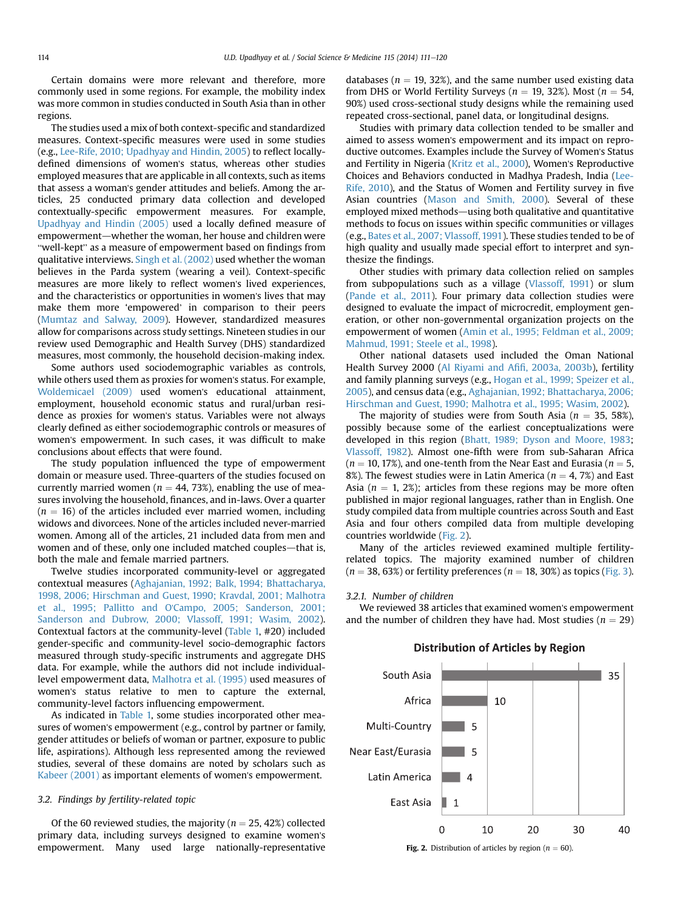Certain domains were more relevant and therefore, more commonly used in some regions. For example, the mobility index was more common in studies conducted in South Asia than in other regions.

The studies used a mix of both context-specific and standardized measures. Context-specific measures were used in some studies (e.g., [Lee-Rife, 2010; Upadhyay and Hindin, 2005](#page-9-0)) to reflect locallydefined dimensions of women's status, whereas other studies employed measures that are applicable in all contexts, such as items that assess a woman's gender attitudes and beliefs. Among the articles, 25 conducted primary data collection and developed contextually-specific empowerment measures. For example, [Upadhyay and Hindin \(2005\)](#page-9-0) used a locally defined measure of epadinyay and Timam (2005) used a locally defined inclusion<br>empowerment—whether the woman, her house and children were<br>"well-kept" as a measure of empowerment based on findings from qualitative interviews. [Singh et al. \(2002\)](#page-9-0) used whether the woman believes in the Parda system (wearing a veil). Context-specific measures are more likely to reflect women's lived experiences, and the characteristics or opportunities in women's lives that may make them more 'empowered' in comparison to their peers ([Mumtaz and Salway, 2009\)](#page-9-0). However, standardized measures allow for comparisons across study settings. Nineteen studies in our review used Demographic and Health Survey (DHS) standardized measures, most commonly, the household decision-making index.

Some authors used sociodemographic variables as controls, while others used them as proxies for women's status. For example, [Woldemicael \(2009\)](#page-9-0) used women's educational attainment, employment, household economic status and rural/urban residence as proxies for women's status. Variables were not always clearly defined as either sociodemographic controls or measures of women's empowerment. In such cases, it was difficult to make conclusions about effects that were found.

The study population influenced the type of empowerment domain or measure used. Three-quarters of the studies focused on currently married women ( $n = 44, 73\%$ ), enabling the use of measures involving the household, finances, and in-laws. Over a quarter  $(n = 16)$  of the articles included ever married women, including widows and divorcees. None of the articles included never-married women. Among all of the articles, 21 included data from men and women and of these, only one included matched couples—that is, both the male and female married partners.

Twelve studies incorporated community-level or aggregated contextual measures [\(Aghajanian, 1992; Balk, 1994; Bhattacharya,](#page-8-0) [1998, 2006; Hirschman and Guest, 1990; Kravdal, 2001; Malhotra](#page-8-0) et al., 1995; Pallitto and O'[Campo, 2005; Sanderson, 2001;](#page-8-0) [Sanderson and Dubrow, 2000; Vlassoff, 1991; Wasim, 2002\)](#page-8-0). Contextual factors at the community-level [\(Table 1,](#page-2-0) #20) included gender-specific and community-level socio-demographic factors measured through study-specific instruments and aggregate DHS data. For example, while the authors did not include individuallevel empowerment data, [Malhotra et al. \(1995\)](#page-9-0) used measures of women's status relative to men to capture the external, community-level factors influencing empowerment.

As indicated in [Table 1,](#page-2-0) some studies incorporated other measures of women's empowerment (e.g., control by partner or family, gender attitudes or beliefs of woman or partner, exposure to public life, aspirations). Although less represented among the reviewed studies, several of these domains are noted by scholars such as [Kabeer \(2001\)](#page-8-0) as important elements of women's empowerment.

# 3.2. Findings by fertility-related topic

Of the 60 reviewed studies, the majority ( $n = 25, 42\%)$  collected primary data, including surveys designed to examine women's empowerment. Many used large nationally-representative databases ( $n = 19$ , 32%), and the same number used existing data from DHS or World Fertility Surveys ( $n = 19, 32\%$ ). Most ( $n = 54$ , 90%) used cross-sectional study designs while the remaining used repeated cross-sectional, panel data, or longitudinal designs.

Studies with primary data collection tended to be smaller and aimed to assess women's empowerment and its impact on reproductive outcomes. Examples include the Survey of Women's Status and Fertility in Nigeria [\(Kritz et al., 2000\)](#page-9-0), Women's Reproductive Choices and Behaviors conducted in Madhya Pradesh, India ([Lee-](#page-9-0)[Rife, 2010\)](#page-9-0), and the Status of Women and Fertility survey in five Asian countries ([Mason and Smith, 2000\)](#page-9-0). Several of these employed mixed methods—using both qualitative and quantitative methods to focus on issues within specific communities or villages (e.g., [Bates et al., 2007; Vlassoff, 1991](#page-8-0)). These studies tended to be of high quality and usually made special effort to interpret and synthesize the findings.

Other studies with primary data collection relied on samples from subpopulations such as a village [\(Vlassoff, 1991\)](#page-9-0) or slum ([Pande et al., 2011](#page-9-0)). Four primary data collection studies were designed to evaluate the impact of microcredit, employment generation, or other non-governmental organization projects on the empowerment of women [\(Amin et al., 1995; Feldman et al., 2009;](#page-8-0) [Mahmud, 1991; Steele et al., 1998\)](#page-8-0).

Other national datasets used included the Oman National Health Survey 2000 [\(Al Riyami and A](#page-8-0)fifi, 2003a, 2003b), fertility and family planning surveys (e.g., [Hogan et al., 1999; Speizer et al.,](#page-8-0) [2005](#page-8-0)), and census data (e.g., [Aghajanian, 1992; Bhattacharya, 2006;](#page-8-0) [Hirschman and Guest, 1990; Malhotra et al., 1995; Wasim, 2002\)](#page-8-0).

The majority of studies were from South Asia ( $n = 35, 58\%$ ), possibly because some of the earliest conceptualizations were developed in this region [\(Bhatt, 1989; Dyson and Moore, 1983](#page-8-0); [Vlassoff, 1982](#page-9-0)). Almost one-fifth were from sub-Saharan Africa  $(n = 10, 17\%)$ , and one-tenth from the Near East and Eurasia ( $n = 5$ , 8%). The fewest studies were in Latin America ( $n = 4, 7\%$ ) and East Asia ( $n = 1, 2\%)$ ; articles from these regions may be more often published in major regional languages, rather than in English. One study compiled data from multiple countries across South and East Asia and four others compiled data from multiple developing countries worldwide (Fig. 2).

Many of the articles reviewed examined multiple fertilityrelated topics. The majority examined number of children  $(n = 38, 63%)$  or fertility preferences  $(n = 18, 30%)$  as topics [\(Fig. 3\)](#page-4-0).

#### 3.2.1. Number of children

We reviewed 38 articles that examined women's empowerment and the number of children they have had. Most studies ( $n = 29$ )





#### **Distribution of Articles by Region**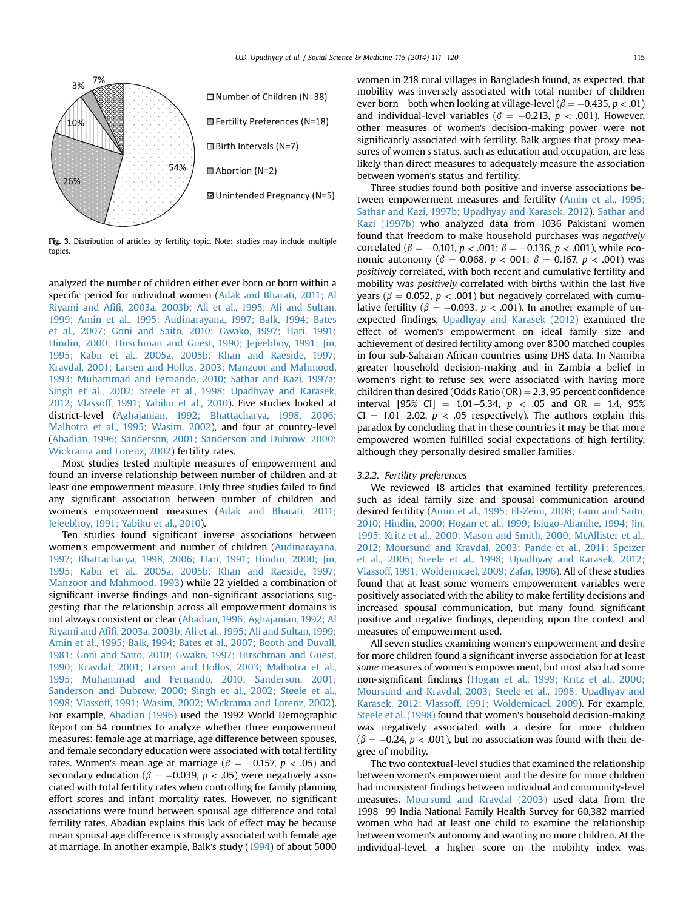<span id="page-4-0"></span>

Fig. 3. Distribution of articles by fertility topic. Note: studies may include multiple topics.

analyzed the number of children either ever born or born within a specific period for individual women ([Adak and Bharati, 2011; Al](#page-8-0) Riyami and Afifi[, 2003a, 2003b; Ali et al., 1995; Ali and Sultan,](#page-8-0) [1999; Amin et al., 1995; Audinarayana, 1997; Balk, 1994; Bates](#page-8-0) [et al., 2007; Goni and Saito, 2010; Gwako, 1997; Hari, 1991;](#page-8-0) [Hindin, 2000; Hirschman and Guest, 1990; Jejeebhoy, 1991; Jin,](#page-8-0) [1995; Kabir et al., 2005a, 2005b; Khan and Raeside, 1997;](#page-8-0) [Kravdal, 2001; Larsen and Hollos, 2003; Manzoor and Mahmood,](#page-8-0) [1993; Muhammad and Fernando, 2010; Sathar and Kazi, 1997a;](#page-8-0) [Singh et al., 2002; Steele et al., 1998; Upadhyay and Karasek,](#page-8-0) [2012; Vlassoff, 1991; Yabiku et al., 2010\)](#page-8-0). Five studies looked at district-level ([Aghajanian, 1992; Bhattacharya, 1998, 2006;](#page-8-0) [Malhotra et al., 1995; Wasim, 2002](#page-8-0)), and four at country-level ([Abadian, 1996; Sanderson, 2001; Sanderson and Dubrow, 2000;](#page-8-0) [Wickrama and Lorenz, 2002](#page-8-0)) fertility rates.

Most studies tested multiple measures of empowerment and found an inverse relationship between number of children and at least one empowerment measure. Only three studies failed to find any significant association between number of children and women's empowerment measures ([Adak and Bharati, 2011;](#page-8-0) [Jejeebhoy, 1991; Yabiku et al., 2010\)](#page-8-0).

Ten studies found significant inverse associations between women's empowerment and number of children ([Audinarayana,](#page-8-0) [1997; Bhattacharya, 1998, 2006; Hari, 1991; Hindin, 2000; Jin,](#page-8-0) [1995; Kabir et al., 2005a, 2005b; Khan and Raeside, 1997;](#page-8-0) [Manzoor and Mahmood, 1993\)](#page-8-0) while 22 yielded a combination of significant inverse findings and non-significant associations suggesting that the relationship across all empowerment domains is not always consistent or clear ([Abadian, 1996; Aghajanian, 1992; Al](#page-8-0) Riyami and Afifi[, 2003a, 2003b; Ali et al., 1995; Ali and Sultan, 1999;](#page-8-0) [Amin et al., 1995; Balk, 1994; Bates et al., 2007; Booth and Duvall,](#page-8-0) [1981; Goni and Saito, 2010; Gwako, 1997; Hirschman and Guest,](#page-8-0) [1990; Kravdal, 2001; Larsen and Hollos, 2003; Malhotra et al.,](#page-8-0) [1995; Muhammad and Fernando, 2010; Sanderson, 2001;](#page-8-0) [Sanderson and Dubrow, 2000; Singh et al., 2002; Steele et al.,](#page-8-0) [1998; Vlassoff, 1991; Wasim, 2002; Wickrama and Lorenz, 2002\)](#page-8-0). For example, [Abadian \(1996\)](#page-8-0) used the 1992 World Demographic Report on 54 countries to analyze whether three empowerment measures: female age at marriage, age difference between spouses, and female secondary education were associated with total fertility rates. Women's mean age at marriage ( $\beta = -0.157$ ,  $p < .05$ ) and secondary education ( $\beta = -0.039$ ,  $p < .05$ ) were negatively associated with total fertility rates when controlling for family planning effort scores and infant mortality rates. However, no significant associations were found between spousal age difference and total fertility rates. Abadian explains this lack of effect may be because mean spousal age difference is strongly associated with female age at marriage. In another example, Balk's study [\(1994\)](#page-8-0) of about 5000

women in 218 rural villages in Bangladesh found, as expected, that mobility was inversely associated with total number of children ever born—both when looking at village-level ( $\beta = -0.435$ ,  $p < .01$ ) and individual-level variables ( $\beta = -0.213$ ,  $p < .001$ ). However, other measures of women's decision-making power were not significantly associated with fertility. Balk argues that proxy measures of women's status, such as education and occupation, are less likely than direct measures to adequately measure the association between women's status and fertility.

Three studies found both positive and inverse associations between empowerment measures and fertility ([Amin et al., 1995;](#page-8-0) [Sathar and Kazi, 1997b; Upadhyay and Karasek, 2012\)](#page-8-0). [Sathar and](#page-9-0) [Kazi \(1997b\)](#page-9-0) who analyzed data from 1036 Pakistani women found that freedom to make household purchases was negatively correlated ( $\beta = -0.101$ ,  $p < .001$ ;  $\beta = -0.136$ ,  $p < .001$ ), while economic autonomy ( $\beta = 0.068$ ,  $p < 0.01$ ;  $\beta = 0.167$ ,  $p < .001$ ) was positively correlated, with both recent and cumulative fertility and mobility was positively correlated with births within the last five years ( $\beta = 0.052$ ,  $p < .001$ ) but negatively correlated with cumulative fertility ( $\beta = -0.093$ ,  $p < .001$ ). In another example of unexpected findings, [Upadhyay and Karasek \(2012\)](#page-9-0) examined the effect of women's empowerment on ideal family size and achievement of desired fertility among over 8500 matched couples in four sub-Saharan African countries using DHS data. In Namibia greater household decision-making and in Zambia a belief in women's right to refuse sex were associated with having more children than desired (Odds Ratio  $(OR) = 2.3$ , 95 percent confidence interval [95% CI] = 1.01-5.34,  $p < .05$  and OR = 1.4, 95%  $CI = 1.01-2.02$ ,  $p < .05$  respectively). The authors explain this paradox by concluding that in these countries it may be that more empowered women fulfilled social expectations of high fertility, although they personally desired smaller families.

#### 3.2.2. Fertility preferences

We reviewed 18 articles that examined fertility preferences, such as ideal family size and spousal communication around desired fertility ([Amin et al., 1995; El-Zeini, 2008; Goni and Saito,](#page-8-0) [2010; Hindin, 2000; Hogan et al., 1999; Isiugo-Abanihe, 1994; Jin,](#page-8-0) [1995; Kritz et al., 2000; Mason and Smith, 2000; McAllister et al.,](#page-8-0) [2012; Moursund and Kravdal, 2003; Pande et al., 2011; Speizer](#page-8-0) [et al., 2005; Steele et al., 1998; Upadhyay and Karasek, 2012;](#page-8-0) [Vlassoff, 1991; Woldemicael, 2009; Zafar, 1996\)](#page-8-0). All of these studies found that at least some women's empowerment variables were positively associated with the ability to make fertility decisions and increased spousal communication, but many found significant positive and negative findings, depending upon the context and measures of empowerment used.

All seven studies examining women's empowerment and desire for more children found a significant inverse association for at least some measures of women's empowerment, but most also had some non-significant findings ([Hogan et al., 1999; Kritz et al., 2000;](#page-8-0) [Moursund and Kravdal, 2003; Steele et al., 1998; Upadhyay and](#page-8-0) [Karasek, 2012; Vlassoff, 1991; Woldemicael, 2009](#page-8-0)). For example, [Steele et al. \(1998\)](#page-9-0) found that women's household decision-making was negatively associated with a desire for more children  $(\beta = -0.24, p < .001)$ , but no association was found with their degree of mobility.

The two contextual-level studies that examined the relationship between women's empowerment and the desire for more children had inconsistent findings between individual and community-level measures. [Moursund and Kravdal \(2003\)](#page-9-0) used data from the 1998-99 India National Family Health Survey for 60,382 married women who had at least one child to examine the relationship between women's autonomy and wanting no more children. At the individual-level, a higher score on the mobility index was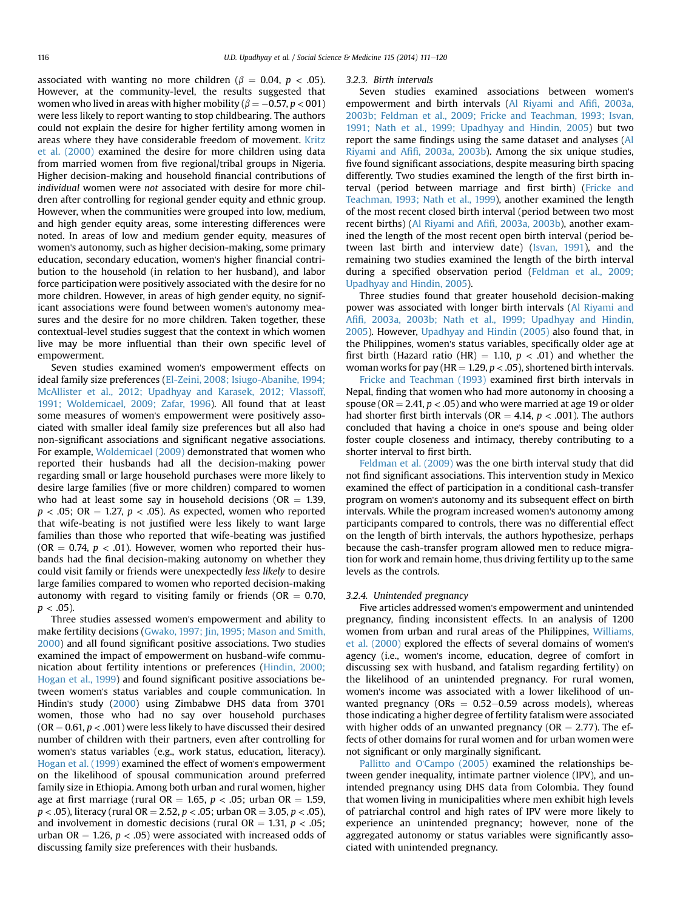associated with wanting no more children ( $\beta = 0.04$ ,  $p < .05$ ). However, at the community-level, the results suggested that women who lived in areas with higher mobility ( $\beta = -0.57$ ,  $p < 001$ ) were less likely to report wanting to stop childbearing. The authors could not explain the desire for higher fertility among women in areas where they have considerable freedom of movement. [Kritz](#page-9-0) [et al. \(2000\)](#page-9-0) examined the desire for more children using data from married women from five regional/tribal groups in Nigeria. Higher decision-making and household financial contributions of individual women were not associated with desire for more children after controlling for regional gender equity and ethnic group. However, when the communities were grouped into low, medium, and high gender equity areas, some interesting differences were noted. In areas of low and medium gender equity, measures of women's autonomy, such as higher decision-making, some primary education, secondary education, women's higher financial contribution to the household (in relation to her husband), and labor force participation were positively associated with the desire for no more children. However, in areas of high gender equity, no significant associations were found between women's autonomy measures and the desire for no more children. Taken together, these contextual-level studies suggest that the context in which women live may be more influential than their own specific level of empowerment.

Seven studies examined women's empowerment effects on ideal family size preferences ([El-Zeini, 2008; Isiugo-Abanihe, 1994;](#page-8-0) [McAllister et al., 2012; Upadhyay and Karasek, 2012; Vlassoff,](#page-8-0) [1991; Woldemicael, 2009; Zafar, 1996\)](#page-8-0). All found that at least some measures of women's empowerment were positively associated with smaller ideal family size preferences but all also had non-significant associations and significant negative associations. For example, [Woldemicael \(2009\)](#page-9-0) demonstrated that women who reported their husbands had all the decision-making power regarding small or large household purchases were more likely to desire large families (five or more children) compared to women who had at least some say in household decisions ( $OR = 1.39$ ,  $p < .05$ ; OR = 1.27,  $p < .05$ ). As expected, women who reported that wife-beating is not justified were less likely to want large families than those who reported that wife-beating was justified (OR = 0.74,  $p < .01$ ). However, women who reported their husbands had the final decision-making autonomy on whether they could visit family or friends were unexpectedly less likely to desire large families compared to women who reported decision-making autonomy with regard to visiting family or friends ( $OR = 0.70$ ,  $p < .05$ ).

Three studies assessed women's empowerment and ability to make fertility decisions [\(Gwako, 1997; Jin, 1995; Mason and Smith,](#page-8-0) [2000](#page-8-0)) and all found significant positive associations. Two studies examined the impact of empowerment on husband-wife communication about fertility intentions or preferences ([Hindin, 2000;](#page-8-0) [Hogan et al., 1999](#page-8-0)) and found significant positive associations between women's status variables and couple communication. In Hindin's study ([2000](#page-8-0)) using Zimbabwe DHS data from 3701 women, those who had no say over household purchases  $(OR = 0.61, p < .001)$  were less likely to have discussed their desired number of children with their partners, even after controlling for women's status variables (e.g., work status, education, literacy). [Hogan et al. \(1999\)](#page-8-0) examined the effect of women's empowerment on the likelihood of spousal communication around preferred family size in Ethiopia. Among both urban and rural women, higher age at first marriage (rural  $OR = 1.65$ ,  $p < .05$ ; urban  $OR = 1.59$ ,  $p < .05$ ), literacy (rural OR = 2.52,  $p < .05$ ; urban OR = 3.05,  $p < .05$ ), and involvement in domestic decisions (rural  $OR = 1.31$ ,  $p < .05$ ; urban OR = 1.26,  $p < .05$ ) were associated with increased odds of discussing family size preferences with their husbands.

#### 3.2.3. Birth intervals

Seven studies examined associations between women's empowerment and birth intervals [\(Al Riyami and A](#page-8-0)fifi, 2003a, [2003b; Feldman et al., 2009; Fricke and Teachman, 1993; Isvan,](#page-8-0) [1991; Nath et al., 1999; Upadhyay and Hindin, 2005\)](#page-8-0) but two report the same findings using the same dataset and analyses ([Al](#page-8-0) Riyami and Afifi[, 2003a, 2003b\)](#page-8-0). Among the six unique studies, five found significant associations, despite measuring birth spacing differently. Two studies examined the length of the first birth interval (period between marriage and first birth) ([Fricke and](#page-8-0) [Teachman, 1993; Nath et al., 1999](#page-8-0)), another examined the length of the most recent closed birth interval (period between two most recent births) ([Al Riyami and A](#page-8-0)fifi, 2003a, 2003b), another examined the length of the most recent open birth interval (period between last birth and interview date) ([Isvan, 1991\)](#page-8-0), and the remaining two studies examined the length of the birth interval during a specified observation period ([Feldman et al., 2009;](#page-8-0) [Upadhyay and Hindin, 2005\)](#page-8-0).

Three studies found that greater household decision-making power was associated with longer birth intervals [\(Al Riyami and](#page-8-0) Afifi[, 2003a, 2003b; Nath et al., 1999; Upadhyay and Hindin,](#page-8-0) [2005](#page-8-0)). However, [Upadhyay and Hindin \(2005\)](#page-9-0) also found that, in the Philippines, women's status variables, specifically older age at first birth (Hazard ratio (HR) = 1.10,  $p < .01$ ) and whether the woman works for pay (HR = 1.29,  $p < .05$ ), shortened birth intervals.

[Fricke and Teachman \(1993\)](#page-8-0) examined first birth intervals in Nepal, finding that women who had more autonomy in choosing a spouse ( $OR = 2.41$ ,  $p < .05$ ) and who were married at age 19 or older had shorter first birth intervals (OR = 4.14,  $p < .001$ ). The authors concluded that having a choice in one's spouse and being older foster couple closeness and intimacy, thereby contributing to a shorter interval to first birth.

[Feldman et al. \(2009\)](#page-8-0) was the one birth interval study that did not find significant associations. This intervention study in Mexico examined the effect of participation in a conditional cash-transfer program on women's autonomy and its subsequent effect on birth intervals. While the program increased women's autonomy among participants compared to controls, there was no differential effect on the length of birth intervals, the authors hypothesize, perhaps because the cash-transfer program allowed men to reduce migration for work and remain home, thus driving fertility up to the same levels as the controls.

# 3.2.4. Unintended pregnancy

Five articles addressed women's empowerment and unintended pregnancy, finding inconsistent effects. In an analysis of 1200 women from urban and rural areas of the Philippines, [Williams,](#page-9-0) [et al. \(2000\)](#page-9-0) explored the effects of several domains of women's agency (i.e., women's income, education, degree of comfort in discussing sex with husband, and fatalism regarding fertility) on the likelihood of an unintended pregnancy. For rural women, women's income was associated with a lower likelihood of unwanted pregnancy (ORs  $= 0.52-0.59$  across models), whereas those indicating a higher degree of fertility fatalism were associated with higher odds of an unwanted pregnancy ( $OR = 2.77$ ). The effects of other domains for rural women and for urban women were not significant or only marginally significant.

Pallitto and O'[Campo \(2005\)](#page-9-0) examined the relationships between gender inequality, intimate partner violence (IPV), and unintended pregnancy using DHS data from Colombia. They found that women living in municipalities where men exhibit high levels of patriarchal control and high rates of IPV were more likely to experience an unintended pregnancy; however, none of the aggregated autonomy or status variables were significantly associated with unintended pregnancy.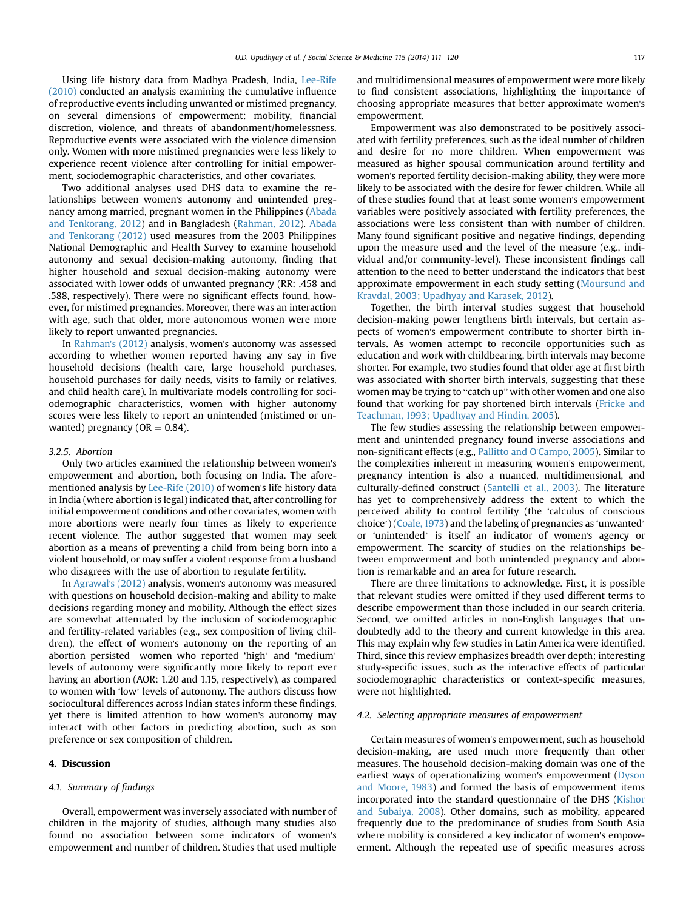Using life history data from Madhya Pradesh, India, [Lee-Rife](#page-9-0) [\(2010\)](#page-9-0) conducted an analysis examining the cumulative influence of reproductive events including unwanted or mistimed pregnancy, on several dimensions of empowerment: mobility, financial discretion, violence, and threats of abandonment/homelessness. Reproductive events were associated with the violence dimension only. Women with more mistimed pregnancies were less likely to experience recent violence after controlling for initial empowerment, sociodemographic characteristics, and other covariates.

Two additional analyses used DHS data to examine the relationships between women's autonomy and unintended pregnancy among married, pregnant women in the Philippines [\(Abada](#page-8-0) [and Tenkorang, 2012](#page-8-0)) and in Bangladesh [\(Rahman, 2012\)](#page-9-0). [Abada](#page-8-0) [and Tenkorang \(2012\)](#page-8-0) used measures from the 2003 Philippines National Demographic and Health Survey to examine household autonomy and sexual decision-making autonomy, finding that higher household and sexual decision-making autonomy were associated with lower odds of unwanted pregnancy (RR: .458 and .588, respectively). There were no significant effects found, however, for mistimed pregnancies. Moreover, there was an interaction with age, such that older, more autonomous women were more likely to report unwanted pregnancies.

In [Rahman](#page-9-0)'s (2012) analysis, women's autonomy was assessed according to whether women reported having any say in five household decisions (health care, large household purchases, household purchases for daily needs, visits to family or relatives, and child health care). In multivariate models controlling for sociodemographic characteristics, women with higher autonomy scores were less likely to report an unintended (mistimed or unwanted) pregnancy ( $OR = 0.84$ ).

#### 3.2.5. Abortion

Only two articles examined the relationship between women's empowerment and abortion, both focusing on India. The aforementioned analysis by [Lee-Rife \(2010\)](#page-9-0) of women's life history data in India (where abortion is legal) indicated that, after controlling for initial empowerment conditions and other covariates, women with more abortions were nearly four times as likely to experience recent violence. The author suggested that women may seek abortion as a means of preventing a child from being born into a violent household, or may suffer a violent response from a husband who disagrees with the use of abortion to regulate fertility.

In [Agrawal](#page-8-0)'s (2012) analysis, women's autonomy was measured with questions on household decision-making and ability to make decisions regarding money and mobility. Although the effect sizes are somewhat attenuated by the inclusion of sociodemographic and fertility-related variables (e.g., sex composition of living chiland icrumy-related variables (e.g., sex composition of living cim-<br>dren), the effect of women's autonomy on the reporting of an<br>abortion persisted—women who reported 'high' and 'medium' levels of autonomy were significantly more likely to report ever having an abortion (AOR: 1.20 and 1.15, respectively), as compared to women with 'low' levels of autonomy. The authors discuss how sociocultural differences across Indian states inform these findings, yet there is limited attention to how women's autonomy may interact with other factors in predicting abortion, such as son preference or sex composition of children.

#### 4. Discussion

#### 4.1. Summary of findings

Overall, empowerment was inversely associated with number of children in the majority of studies, although many studies also found no association between some indicators of women's empowerment and number of children. Studies that used multiple

and multidimensional measures of empowerment were more likely to find consistent associations, highlighting the importance of choosing appropriate measures that better approximate women's empowerment.

Empowerment was also demonstrated to be positively associated with fertility preferences, such as the ideal number of children and desire for no more children. When empowerment was measured as higher spousal communication around fertility and women's reported fertility decision-making ability, they were more likely to be associated with the desire for fewer children. While all of these studies found that at least some women's empowerment variables were positively associated with fertility preferences, the associations were less consistent than with number of children. Many found significant positive and negative findings, depending upon the measure used and the level of the measure (e.g., individual and/or community-level). These inconsistent findings call attention to the need to better understand the indicators that best approximate empowerment in each study setting ([Moursund and](#page-9-0) [Kravdal, 2003; Upadhyay and Karasek, 2012\)](#page-9-0).

Together, the birth interval studies suggest that household decision-making power lengthens birth intervals, but certain aspects of women's empowerment contribute to shorter birth intervals. As women attempt to reconcile opportunities such as education and work with childbearing, birth intervals may become shorter. For example, two studies found that older age at first birth was associated with shorter birth intervals, suggesting that these women may be trying to "catch up" with other women and one also found that working for pay shortened birth intervals ([Fricke and](#page-8-0) [Teachman, 1993; Upadhyay and Hindin, 2005](#page-8-0)).

The few studies assessing the relationship between empowerment and unintended pregnancy found inverse associations and non-significant effects (e.g., [Pallitto and O](#page-9-0)'Campo, 2005). Similar to the complexities inherent in measuring women's empowerment, pregnancy intention is also a nuanced, multidimensional, and culturally-defined construct [\(Santelli et al., 2003](#page-9-0)). The literature has yet to comprehensively address the extent to which the perceived ability to control fertility (the 'calculus of conscious choice') [\(Coale, 1973\)](#page-8-0) and the labeling of pregnancies as 'unwanted' or 'unintended' is itself an indicator of women's agency or empowerment. The scarcity of studies on the relationships between empowerment and both unintended pregnancy and abortion is remarkable and an area for future research.

There are three limitations to acknowledge. First, it is possible that relevant studies were omitted if they used different terms to describe empowerment than those included in our search criteria. Second, we omitted articles in non-English languages that undoubtedly add to the theory and current knowledge in this area. This may explain why few studies in Latin America were identified. Third, since this review emphasizes breadth over depth; interesting study-specific issues, such as the interactive effects of particular sociodemographic characteristics or context-specific measures, were not highlighted.

#### 4.2. Selecting appropriate measures of empowerment

Certain measures of women's empowerment, such as household decision-making, are used much more frequently than other measures. The household decision-making domain was one of the earliest ways of operationalizing women's empowerment ([Dyson](#page-8-0) [and Moore, 1983](#page-8-0)) and formed the basis of empowerment items incorporated into the standard questionnaire of the DHS [\(Kishor](#page-9-0) [and Subaiya, 2008\)](#page-9-0). Other domains, such as mobility, appeared frequently due to the predominance of studies from South Asia where mobility is considered a key indicator of women's empowerment. Although the repeated use of specific measures across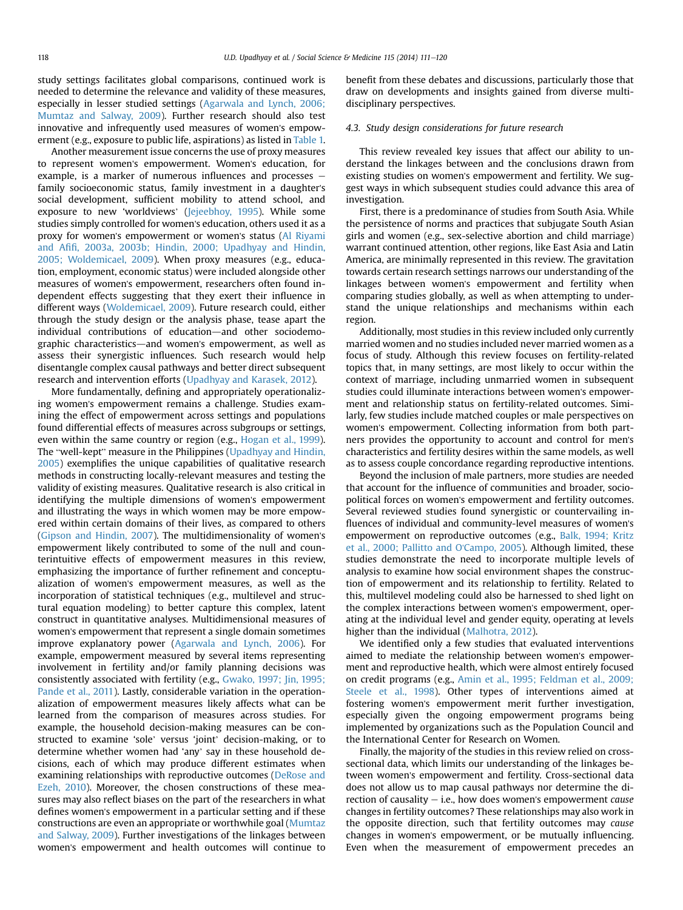study settings facilitates global comparisons, continued work is needed to determine the relevance and validity of these measures, especially in lesser studied settings [\(Agarwala and Lynch, 2006;](#page-8-0) [Mumtaz and Salway, 2009](#page-8-0)). Further research should also test innovative and infrequently used measures of women's empowerment (e.g., exposure to public life, aspirations) as listed in [Table 1.](#page-2-0)

Another measurement issue concerns the use of proxy measures to represent women's empowerment. Women's education, for example, is a marker of numerous influences and processes  $$ family socioeconomic status, family investment in a daughter's social development, sufficient mobility to attend school, and exposure to new 'worldviews' ([Jejeebhoy, 1995](#page-8-0)). While some studies simply controlled for women's education, others used it as a proxy for women's empowerment or women's status [\(Al Riyami](#page-8-0) and Afifi[, 2003a, 2003b; Hindin, 2000; Upadhyay and Hindin,](#page-8-0) [2005; Woldemicael, 2009](#page-8-0)). When proxy measures (e.g., education, employment, economic status) were included alongside other measures of women's empowerment, researchers often found independent effects suggesting that they exert their influence in different ways [\(Woldemicael, 2009](#page-9-0)). Future research could, either through the study design or the analysis phase, tease apart the individual contributions of education-and other sociodemographic characteristics—and women's empowerment, as well as assess their synergistic influences. Such research would help disentangle complex causal pathways and better direct subsequent research and intervention efforts ([Upadhyay and Karasek, 2012\)](#page-9-0).

More fundamentally, defining and appropriately operationalizing women's empowerment remains a challenge. Studies examining the effect of empowerment across settings and populations found differential effects of measures across subgroups or settings, even within the same country or region (e.g., [Hogan et al., 1999\)](#page-8-0). The "well-kept" measure in the Philippines [\(Upadhyay and Hindin,](#page-9-0) [2005](#page-9-0)) exemplifies the unique capabilities of qualitative research methods in constructing locally-relevant measures and testing the validity of existing measures. Qualitative research is also critical in identifying the multiple dimensions of women's empowerment and illustrating the ways in which women may be more empowered within certain domains of their lives, as compared to others ([Gipson and Hindin, 2007\)](#page-8-0). The multidimensionality of women's empowerment likely contributed to some of the null and counterintuitive effects of empowerment measures in this review, emphasizing the importance of further refinement and conceptualization of women's empowerment measures, as well as the incorporation of statistical techniques (e.g., multilevel and structural equation modeling) to better capture this complex, latent construct in quantitative analyses. Multidimensional measures of women's empowerment that represent a single domain sometimes improve explanatory power ([Agarwala and Lynch, 2006\)](#page-8-0). For example, empowerment measured by several items representing involvement in fertility and/or family planning decisions was consistently associated with fertility (e.g., [Gwako, 1997; Jin, 1995;](#page-8-0) [Pande et al., 2011](#page-8-0)). Lastly, considerable variation in the operationalization of empowerment measures likely affects what can be learned from the comparison of measures across studies. For example, the household decision-making measures can be conexample, the household decision-making measures can be constructed to examine 'sole' versus 'joint' decision-making, or to example, the household deelsion making incasares can be constructed to examine 'sole' versus 'joint' decision-making, or to determine whether women had 'any' say in these household decisions, each of which may produce different estimates when examining relationships with reproductive outcomes ([DeRose and](#page-8-0) [Ezeh, 2010](#page-8-0)). Moreover, the chosen constructions of these measures may also reflect biases on the part of the researchers in what defines women's empowerment in a particular setting and if these constructions are even an appropriate or worthwhile goal [\(Mumtaz](#page-9-0) [and Salway, 2009](#page-9-0)). Further investigations of the linkages between women's empowerment and health outcomes will continue to benefit from these debates and discussions, particularly those that draw on developments and insights gained from diverse multidisciplinary perspectives.

### 4.3. Study design considerations for future research

This review revealed key issues that affect our ability to understand the linkages between and the conclusions drawn from existing studies on women's empowerment and fertility. We suggest ways in which subsequent studies could advance this area of investigation.

First, there is a predominance of studies from South Asia. While the persistence of norms and practices that subjugate South Asian girls and women (e.g., sex-selective abortion and child marriage) warrant continued attention, other regions, like East Asia and Latin America, are minimally represented in this review. The gravitation towards certain research settings narrows our understanding of the linkages between women's empowerment and fertility when comparing studies globally, as well as when attempting to understand the unique relationships and mechanisms within each region.

Additionally, most studies in this review included only currently married women and no studies included never married women as a focus of study. Although this review focuses on fertility-related topics that, in many settings, are most likely to occur within the context of marriage, including unmarried women in subsequent studies could illuminate interactions between women's empowerment and relationship status on fertility-related outcomes. Similarly, few studies include matched couples or male perspectives on women's empowerment. Collecting information from both partners provides the opportunity to account and control for men's characteristics and fertility desires within the same models, as well as to assess couple concordance regarding reproductive intentions.

Beyond the inclusion of male partners, more studies are needed that account for the influence of communities and broader, sociopolitical forces on women's empowerment and fertility outcomes. Several reviewed studies found synergistic or countervailing influences of individual and community-level measures of women's empowerment on reproductive outcomes (e.g., [Balk, 1994; Kritz](#page-8-0) [et al., 2000; Pallitto and O](#page-8-0)'Campo, 2005). Although limited, these studies demonstrate the need to incorporate multiple levels of analysis to examine how social environment shapes the construction of empowerment and its relationship to fertility. Related to this, multilevel modeling could also be harnessed to shed light on the complex interactions between women's empowerment, operating at the individual level and gender equity, operating at levels higher than the individual ([Malhotra, 2012](#page-9-0)).

We identified only a few studies that evaluated interventions aimed to mediate the relationship between women's empowerment and reproductive health, which were almost entirely focused on credit programs (e.g., [Amin et al., 1995; Feldman et al., 2009;](#page-8-0) [Steele et al., 1998](#page-8-0)). Other types of interventions aimed at fostering women's empowerment merit further investigation, especially given the ongoing empowerment programs being implemented by organizations such as the Population Council and the International Center for Research on Women.

Finally, the majority of the studies in this review relied on crosssectional data, which limits our understanding of the linkages between women's empowerment and fertility. Cross-sectional data does not allow us to map causal pathways nor determine the direction of causality  $-$  i.e., how does women's empowerment cause changes in fertility outcomes? These relationships may also work in the opposite direction, such that fertility outcomes may cause changes in women's empowerment, or be mutually influencing. Even when the measurement of empowerment precedes an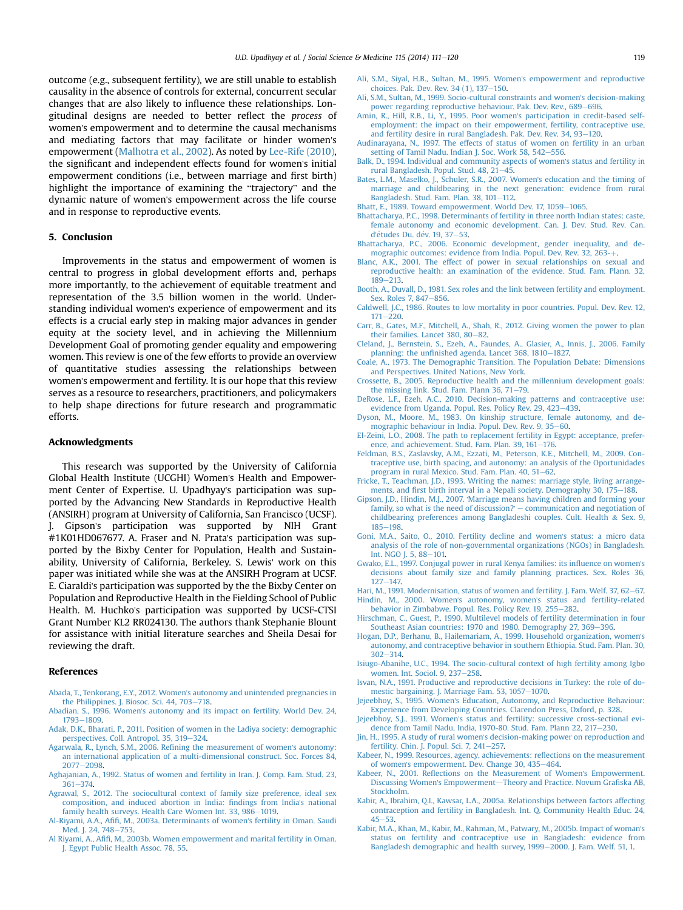<span id="page-8-0"></span>outcome (e.g., subsequent fertility), we are still unable to establish causality in the absence of controls for external, concurrent secular changes that are also likely to influence these relationships. Longitudinal designs are needed to better reflect the process of women's empowerment and to determine the causal mechanisms and mediating factors that may facilitate or hinder women's empowerment ([Malhotra et al., 2002](#page-9-0)). As noted by [Lee-Rife \(2010\),](#page-9-0) the significant and independent effects found for women's initial empowerment conditions (i.e., between marriage and first birth) highlight the importance of examining the "trajectory" and the dynamic nature of women's empowerment across the life course and in response to reproductive events.

# 5. Conclusion

Improvements in the status and empowerment of women is central to progress in global development efforts and, perhaps more importantly, to the achievement of equitable treatment and representation of the 3.5 billion women in the world. Understanding individual women's experience of empowerment and its effects is a crucial early step in making major advances in gender equity at the society level, and in achieving the Millennium Development Goal of promoting gender equality and empowering women. This review is one of the few efforts to provide an overview of quantitative studies assessing the relationships between women's empowerment and fertility. It is our hope that this review serves as a resource to researchers, practitioners, and policymakers to help shape directions for future research and programmatic efforts.

#### Acknowledgments

This research was supported by the University of California Global Health Institute (UCGHI) Women's Health and Empowerment Center of Expertise. U. Upadhyay's participation was supported by the Advancing New Standards in Reproductive Health (ANSIRH) program at University of California, San Francisco (UCSF). J. Gipson's participation was supported by NIH Grant #1K01HD067677. A. Fraser and N. Prata's participation was supported by the Bixby Center for Population, Health and Sustainability, University of California, Berkeley. S. Lewis' work on this paper was initiated while she was at the ANSIRH Program at UCSF. E. Ciaraldi's participation was supported by the the Bixby Center on Population and Reproductive Health in the Fielding School of Public Health. M. Huchko's participation was supported by UCSF-CTSI Grant Number KL2 RR024130. The authors thank Stephanie Blount for assistance with initial literature searches and Sheila Desai for reviewing the draft.

#### References

- Abada, T., Tenkorang, E.Y., 2012. Women'[s autonomy and unintended pregnancies in](http://refhub.elsevier.com/S0277-9536(14)00373-6/sref1) the Philippines. I. Biosoc. Sci. 44, 703-[718](http://refhub.elsevier.com/S0277-9536(14)00373-6/sref1).
- Abadian, S., 1996. Women'[s autonomy and its impact on fertility. World Dev. 24,](http://refhub.elsevier.com/S0277-9536(14)00373-6/sref2) [1793](http://refhub.elsevier.com/S0277-9536(14)00373-6/sref2)-[1809](http://refhub.elsevier.com/S0277-9536(14)00373-6/sref2).
- [Adak, D.K., Bharati, P., 2011. Position of women in the Ladiya society: demographic](http://refhub.elsevier.com/S0277-9536(14)00373-6/sref3) [perspectives. Coll. Antropol. 35, 319](http://refhub.elsevier.com/S0277-9536(14)00373-6/sref3)-[324.](http://refhub.elsevier.com/S0277-9536(14)00373-6/sref3)
- [Agarwala, R., Lynch, S.M., 2006. Re](http://refhub.elsevier.com/S0277-9536(14)00373-6/sref4)fining the measurement of women's autonomy: [an international application of a multi-dimensional construct. Soc. Forces 84,](http://refhub.elsevier.com/S0277-9536(14)00373-6/sref4) [2077](http://refhub.elsevier.com/S0277-9536(14)00373-6/sref4)-2098
- [Aghajanian, A., 1992. Status of women and fertility in Iran. J. Comp. Fam. Stud. 23,](http://refhub.elsevier.com/S0277-9536(14)00373-6/sref5) [361](http://refhub.elsevier.com/S0277-9536(14)00373-6/sref5)-[374.](http://refhub.elsevier.com/S0277-9536(14)00373-6/sref5)
- [Agrawal, S., 2012. The sociocultural context of family size preference, ideal sex](http://refhub.elsevier.com/S0277-9536(14)00373-6/sref6) [composition, and induced abortion in India:](http://refhub.elsevier.com/S0277-9536(14)00373-6/sref6) findings from India's national [family health surveys. Health Care Women Int. 33, 986](http://refhub.elsevier.com/S0277-9536(14)00373-6/sref6)-[1019](http://refhub.elsevier.com/S0277-9536(14)00373-6/sref6).
- Al-Riyami, A.A., Afifi[, M., 2003a. Determinants of women](http://refhub.elsevier.com/S0277-9536(14)00373-6/sref7)'s fertility in Oman. Saudi Med. I. 24, 748-[753](http://refhub.elsevier.com/S0277-9536(14)00373-6/sref7).
- Al Riyami, A., Afifi[, M., 2003b. Women empowerment and marital fertility in Oman.](http://refhub.elsevier.com/S0277-9536(14)00373-6/sref8) [J. Egypt Public Health Assoc. 78, 55](http://refhub.elsevier.com/S0277-9536(14)00373-6/sref8).
- [Ali, S.M., Siyal, H.B., Sultan, M., 1995. Women](http://refhub.elsevier.com/S0277-9536(14)00373-6/sref9)'s empowerment and reproductive choices. Pak. Dev. Rev.  $34$   $(1)$ ,  $137-150$ .
- [Ali, S.M., Sultan, M., 1999. Socio-cultural constraints and women](http://refhub.elsevier.com/S0277-9536(14)00373-6/sref10)'s decision-making [power regarding reproductive behaviour. Pak. Dev. Rev., 689](http://refhub.elsevier.com/S0277-9536(14)00373-6/sref10)–[696](http://refhub.elsevier.com/S0277-9536(14)00373-6/sref10).
- [Amin, R., Hill, R.B., Li, Y., 1995. Poor women](http://refhub.elsevier.com/S0277-9536(14)00373-6/sref11)'s participation in credit-based self[employment: the impact on their empowerment, fertility, contraceptive use,](http://refhub.elsevier.com/S0277-9536(14)00373-6/sref11) [and fertility desire in rural Bangladesh. Pak. Dev. Rev. 34, 93](http://refhub.elsevier.com/S0277-9536(14)00373-6/sref11)-[120](http://refhub.elsevier.com/S0277-9536(14)00373-6/sref11).
- [Audinarayana, N., 1997. The effects of status of women on fertility in an urban](http://refhub.elsevier.com/S0277-9536(14)00373-6/sref12) [setting of Tamil Nadu. Indian J. Soc. Work 58, 542](http://refhub.elsevier.com/S0277-9536(14)00373-6/sref12)-[556](http://refhub.elsevier.com/S0277-9536(14)00373-6/sref12).
- [Balk, D., 1994. Individual and community aspects of women](http://refhub.elsevier.com/S0277-9536(14)00373-6/sref13)'s status and fertility in [rural Bangladesh. Popul. Stud. 48, 21](http://refhub.elsevier.com/S0277-9536(14)00373-6/sref13)-[45.](http://refhub.elsevier.com/S0277-9536(14)00373-6/sref13)
- [Bates, L.M., Maselko, J., Schuler, S.R., 2007. Women](http://refhub.elsevier.com/S0277-9536(14)00373-6/sref14)'s education and the timing of [marriage and childbearing in the next generation: evidence from rural](http://refhub.elsevier.com/S0277-9536(14)00373-6/sref14) [Bangladesh. Stud. Fam. Plan. 38, 101](http://refhub.elsevier.com/S0277-9536(14)00373-6/sref14)-[112](http://refhub.elsevier.com/S0277-9536(14)00373-6/sref14).
- [Bhatt, E., 1989. Toward empowerment. World Dev. 17, 1059](http://refhub.elsevier.com/S0277-9536(14)00373-6/sref15)-[1065](http://refhub.elsevier.com/S0277-9536(14)00373-6/sref15).
- [Bhattacharya, P.C., 1998. Determinants of fertility in three north Indian states: caste,](http://refhub.elsevier.com/S0277-9536(14)00373-6/sref16) [female autonomy and economic development. Can. J. Dev. Stud. Rev. Can.](http://refhub.elsevier.com/S0277-9536(14)00373-6/sref16) [d](http://refhub.elsevier.com/S0277-9536(14)00373-6/sref16)'études Du. dé[v. 19, 37](http://refhub.elsevier.com/S0277-9536(14)00373-6/sref16)-[53.](http://refhub.elsevier.com/S0277-9536(14)00373-6/sref16)
- [Bhattacharya, P.C., 2006. Economic development, gender inequality, and de](http://refhub.elsevier.com/S0277-9536(14)00373-6/sref17)[mographic outcomes: evidence from India. Popul. Dev. Rev. 32, 263-](http://refhub.elsevier.com/S0277-9536(14)00373-6/sref17)+
- [Blanc, A.K., 2001. The effect of power in sexual relationships on sexual and](http://refhub.elsevier.com/S0277-9536(14)00373-6/sref18) [reproductive health: an examination of the evidence. Stud. Fam. Plann. 32,](http://refhub.elsevier.com/S0277-9536(14)00373-6/sref18)  $189 - 213$  $189 - 213$  $189 - 213$ .
- [Booth, A., Duvall, D., 1981. Sex roles and the link between fertility and employment.](http://refhub.elsevier.com/S0277-9536(14)00373-6/sref19) [Sex. Roles 7, 847](http://refhub.elsevier.com/S0277-9536(14)00373-6/sref19)-[856](http://refhub.elsevier.com/S0277-9536(14)00373-6/sref19).
- [Caldwell, J.C., 1986. Routes to low mortality in poor countries. Popul. Dev. Rev. 12,](http://refhub.elsevier.com/S0277-9536(14)00373-6/sref20)  $171 - 220$  $171 - 220$  $171 - 220$
- [Carr, B., Gates, M.F., Mitchell, A., Shah, R., 2012. Giving women the power to plan](http://refhub.elsevier.com/S0277-9536(14)00373-6/sref21) [their families. Lancet 380, 80](http://refhub.elsevier.com/S0277-9536(14)00373-6/sref21)-[82.](http://refhub.elsevier.com/S0277-9536(14)00373-6/sref21)
- [Cleland, J., Bernstein, S., Ezeh, A., Faundes, A., Glasier, A., Innis, J., 2006. Family](http://refhub.elsevier.com/S0277-9536(14)00373-6/sref22) planning: the unfi[nished agenda. Lancet 368, 1810](http://refhub.elsevier.com/S0277-9536(14)00373-6/sref22)-[1827.](http://refhub.elsevier.com/S0277-9536(14)00373-6/sref22)
- [Coale, A., 1973. The Demographic Transition. The Population Debate: Dimensions](http://refhub.elsevier.com/S0277-9536(14)00373-6/sref23) [and Perspectives. United Nations, New York](http://refhub.elsevier.com/S0277-9536(14)00373-6/sref23).
- [Crossette, B., 2005. Reproductive health and the millennium development goals:](http://refhub.elsevier.com/S0277-9536(14)00373-6/sref24) the missing link. Stud. Fam. Plann 36,  $71-79$ .
- [DeRose, L.F., Ezeh, A.C., 2010. Decision-making patterns and contraceptive use:](http://refhub.elsevier.com/S0277-9536(14)00373-6/sref25) [evidence from Uganda. Popul. Res. Policy Rev. 29, 423](http://refhub.elsevier.com/S0277-9536(14)00373-6/sref25)-[439.](http://refhub.elsevier.com/S0277-9536(14)00373-6/sref25)
- [Dyson, M., Moore, M., 1983. On kinship structure, female autonomy, and de](http://refhub.elsevier.com/S0277-9536(14)00373-6/sref26)[mographic behaviour in India. Popul. Dev. Rev. 9, 35](http://refhub.elsevier.com/S0277-9536(14)00373-6/sref26)-[60.](http://refhub.elsevier.com/S0277-9536(14)00373-6/sref26)
- [El-Zeini, L.O., 2008. The path to replacement fertility in Egypt: acceptance, prefer](http://refhub.elsevier.com/S0277-9536(14)00373-6/sref27)[ence, and achievement. Stud. Fam. Plan. 39, 161](http://refhub.elsevier.com/S0277-9536(14)00373-6/sref27)-[176](http://refhub.elsevier.com/S0277-9536(14)00373-6/sref27).
- [Feldman, B.S., Zaslavsky, A.M., Ezzati, M., Peterson, K.E., Mitchell, M., 2009. Con](http://refhub.elsevier.com/S0277-9536(14)00373-6/sref28)[traceptive use, birth spacing, and autonomy: an analysis of the Oportunidades](http://refhub.elsevier.com/S0277-9536(14)00373-6/sref28) [program in rural Mexico. Stud. Fam. Plan. 40, 51](http://refhub.elsevier.com/S0277-9536(14)00373-6/sref28)-[62](http://refhub.elsevier.com/S0277-9536(14)00373-6/sref28).
- [Fricke, T., Teachman, J.D., 1993. Writing the names: marriage style, living arrange](http://refhub.elsevier.com/S0277-9536(14)00373-6/sref29)ments, and fi[rst birth interval in a Nepali society. Demography 30, 175](http://refhub.elsevier.com/S0277-9536(14)00373-6/sref29)-[188](http://refhub.elsevier.com/S0277-9536(14)00373-6/sref29).
- Gipson, J.D., Hindin, M.J., 2007. '[Marriage means having children and forming your](http://refhub.elsevier.com/S0277-9536(14)00373-6/sref30) [family, so what is the need of discussion?](http://refhub.elsevier.com/S0277-9536(14)00373-6/sref30)' - [communication and negotiation of](http://refhub.elsevier.com/S0277-9536(14)00373-6/sref30) [childbearing preferences among Bangladeshi couples. Cult. Health](http://refhub.elsevier.com/S0277-9536(14)00373-6/sref30) & [Sex. 9,](http://refhub.elsevier.com/S0277-9536(14)00373-6/sref30) [185](http://refhub.elsevier.com/S0277-9536(14)00373-6/sref30)-198
- [Goni, M.A., Saito, O., 2010. Fertility decline and women](http://refhub.elsevier.com/S0277-9536(14)00373-6/sref31)'s status: a micro data [analysis of the role of non-governmental organizations \(NGOs\) in Bangladesh.](http://refhub.elsevier.com/S0277-9536(14)00373-6/sref31)  $Int. NGO J. 5, 88-101.$  $Int. NGO J. 5, 88-101.$  $Int. NGO J. 5, 88-101.$
- [Gwako, E.L., 1997. Conjugal power in rural Kenya families: its in](http://refhub.elsevier.com/S0277-9536(14)00373-6/sref32)fluence on women's [decisions about family size and family planning practices. Sex. Roles 36,](http://refhub.elsevier.com/S0277-9536(14)00373-6/sref32)  $127 - 147$  $127 - 147$ .
- [Hari, M., 1991. Modernisation, status of women and fertility. J. Fam. Welf. 37, 62](http://refhub.elsevier.com/S0277-9536(14)00373-6/sref33)-[67.](http://refhub.elsevier.com/S0277-9536(14)00373-6/sref33) Hindin, M., 2000. Women's autonomy, women'[s status and fertility-related](http://refhub.elsevier.com/S0277-9536(14)00373-6/sref34) [behavior in Zimbabwe. Popul. Res. Policy Rev. 19, 255](http://refhub.elsevier.com/S0277-9536(14)00373-6/sref34)-[282](http://refhub.elsevier.com/S0277-9536(14)00373-6/sref34).
- [Hirschman, C., Guest, P., 1990. Multilevel models of fertility determination in four](http://refhub.elsevier.com/S0277-9536(14)00373-6/sref35) [Southeast Asian countries: 1970 and 1980. Demography 27, 369](http://refhub.elsevier.com/S0277-9536(14)00373-6/sref35)-[396](http://refhub.elsevier.com/S0277-9536(14)00373-6/sref35).
- [Hogan, D.P., Berhanu, B., Hailemariam, A., 1999. Household organization, women](http://refhub.elsevier.com/S0277-9536(14)00373-6/sref36)'s [autonomy, and contraceptive behavior in southern Ethiopia. Stud. Fam. Plan. 30,](http://refhub.elsevier.com/S0277-9536(14)00373-6/sref36)  $302 - 314.$  $302 - 314.$  $302 - 314.$
- [Isiugo-Abanihe, U.C., 1994. The socio-cultural context of high fertility among Igbo](http://refhub.elsevier.com/S0277-9536(14)00373-6/sref37) [women. Int. Sociol. 9, 237](http://refhub.elsevier.com/S0277-9536(14)00373-6/sref37)-[258.](http://refhub.elsevier.com/S0277-9536(14)00373-6/sref37)
- [Isvan, N.A., 1991. Productive and reproductive decisions in Turkey: the role of do](http://refhub.elsevier.com/S0277-9536(14)00373-6/sref38)[mestic bargaining. J. Marriage Fam. 53, 1057](http://refhub.elsevier.com/S0277-9536(14)00373-6/sref38)-[1070.](http://refhub.elsevier.com/S0277-9536(14)00373-6/sref38)
- Jejeebhoy, S., 1995. Women'[s Education, Autonomy, and Reproductive Behaviour:](http://refhub.elsevier.com/S0277-9536(14)00373-6/sref39) [Experience from Developing Countries. Clarendon Press, Oxford, p. 328](http://refhub.elsevier.com/S0277-9536(14)00373-6/sref39).
- Jejeebhoy, S.J., 1991. Women'[s status and fertility: successive cross-sectional evi](http://refhub.elsevier.com/S0277-9536(14)00373-6/sref40)[dence from Tamil Nadu, India, 1970-80. Stud. Fam. Plann 22, 217](http://refhub.elsevier.com/S0277-9536(14)00373-6/sref40)-[230.](http://refhub.elsevier.com/S0277-9536(14)00373-6/sref40)
- Jin, H., 1995. A study of rural women'[s decision-making power on reproduction and](http://refhub.elsevier.com/S0277-9536(14)00373-6/sref41) fertility. Chin. J. Popul. Sci. 7,  $241-257$ .
- [Kabeer, N., 1999. Resources, agency, achievements: re](http://refhub.elsevier.com/S0277-9536(14)00373-6/sref42)flections on the measurement of women'[s empowerment. Dev. Change 30, 435](http://refhub.elsevier.com/S0277-9536(14)00373-6/sref42)-[464.](http://refhub.elsevier.com/S0277-9536(14)00373-6/sref42)
- Kabeer, N., 2001. Refl[ections on the Measurement of Women](http://refhub.elsevier.com/S0277-9536(14)00373-6/sref43)'s Empowerment. [Discussing Women](http://refhub.elsevier.com/S0277-9536(14)00373-6/sref43)'s Empowerment-[Theory and Practice. Novum Gra](http://refhub.elsevier.com/S0277-9536(14)00373-6/sref43)fiska AB, [Stockholm](http://refhub.elsevier.com/S0277-9536(14)00373-6/sref43).
- [Kabir, A., Ibrahim, Q.I., Kawsar, L.A., 2005a. Relationships between factors affecting](http://refhub.elsevier.com/S0277-9536(14)00373-6/sref44) [contraception and fertility in Bangladesh. Int. Q. Community Health Educ. 24,](http://refhub.elsevier.com/S0277-9536(14)00373-6/sref44)  $45 - 53$  $45 - 53$ .
- [Kabir, M.A., Khan, M., Kabir, M., Rahman, M., Patwary, M., 2005b. Impact of woman](http://refhub.elsevier.com/S0277-9536(14)00373-6/sref45)'s [status on fertility and contraceptive use in Bangladesh: evidence from](http://refhub.elsevier.com/S0277-9536(14)00373-6/sref45) [Bangladesh demographic and health survey, 1999](http://refhub.elsevier.com/S0277-9536(14)00373-6/sref45)-[2000. J. Fam. Welf. 51, 1.](http://refhub.elsevier.com/S0277-9536(14)00373-6/sref45)